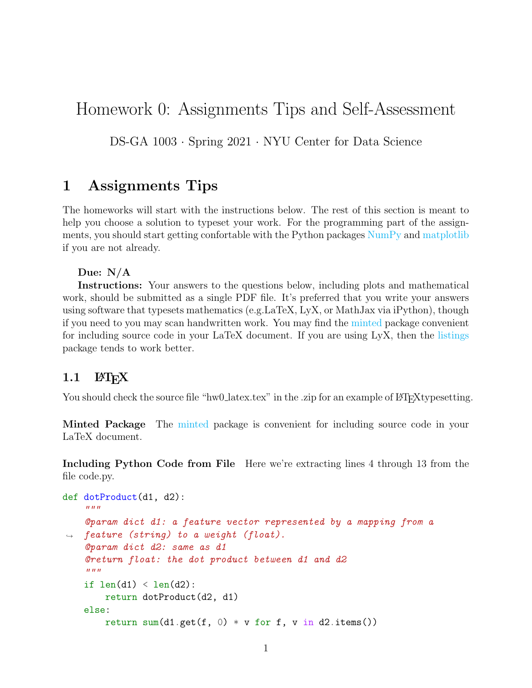# Homework 0: Assignments Tips and Self-Assessment

DS-GA 1003 · Spring 2021 · NYU Center for Data Science

## 1 Assignments Tips

The homeworks will start with the instructions below. The rest of this section is meant to help you choose a solution to typeset your work. For the programming part of the assignments, you should start getting confortable with the Python packages  $\overline{\text{NumPy}}$  $\overline{\text{NumPy}}$  $\overline{\text{NumPy}}$  and [matplotlib](https://matplotlib.org/) if you are not already.

Due: N/A

Instructions: Your answers to the questions below, including plots and mathematical work, should be submitted as a single PDF file. It's preferred that you write your answers using software that typesets mathematics (e.g.LaTeX, LyX, or MathJax via iPython), though if you need to you may scan handwritten work. You may find the [minted](https://github.com/gpoore/minted) package convenient for including source code in your LaTeX document. If you are using LyX, then the [listings](https://en.wikibooks.org/wiki/LaTeX/Source_Code_Listings) package tends to work better.

#### $1.1$  LAT<sub>F</sub>X

You should check the source file "hw0\_latex.tex" in the .zip for an example of LATEXtypesetting.

Minted Package The [minted](https://github.com/gpoore/minted) package is convenient for including source code in your LaTeX document.

Including Python Code from File Here we're extracting lines 4 through 13 from the file code.py.

```
def dotProduct(d1, d2):
    "''"@param dict d1: a feature vector represented by a mapping from a
\rightarrow feature (string) to a weight (float).
    @param dict d2: same as d1
    @return float: the dot product between d1 and d2
    "''"if len(d1) < len(d2):
        return dotProduct(d2, d1)
    else:
        return sum(d1.get(f, 0) * v for f, v in d2.items())
```